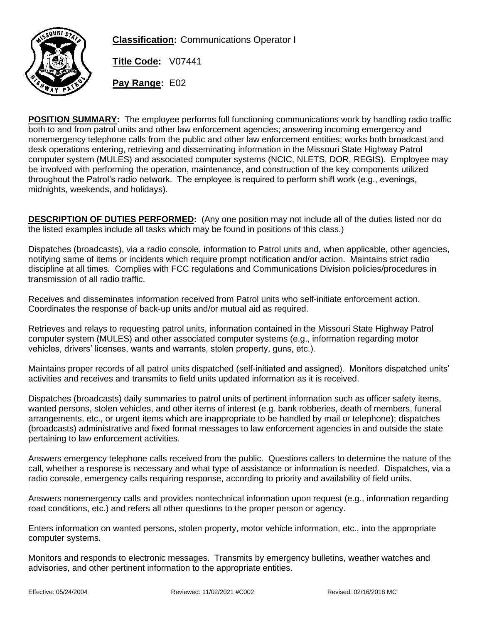

**Classification:** Communications Operator I

**Title Code:** V07441

**Pay Range:** E02

**POSITION SUMMARY:** The employee performs full functioning communications work by handling radio traffic both to and from patrol units and other law enforcement agencies; answering incoming emergency and nonemergency telephone calls from the public and other law enforcement entities; works both broadcast and desk operations entering, retrieving and disseminating information in the Missouri State Highway Patrol computer system (MULES) and associated computer systems (NCIC, NLETS, DOR, REGIS). Employee may be involved with performing the operation, maintenance, and construction of the key components utilized throughout the Patrol's radio network. The employee is required to perform shift work (e.g., evenings, midnights, weekends, and holidays).

**DESCRIPTION OF DUTIES PERFORMED:** (Any one position may not include all of the duties listed nor do the listed examples include all tasks which may be found in positions of this class.)

Dispatches (broadcasts), via a radio console, information to Patrol units and, when applicable, other agencies, notifying same of items or incidents which require prompt notification and/or action. Maintains strict radio discipline at all times. Complies with FCC regulations and Communications Division policies/procedures in transmission of all radio traffic.

Receives and disseminates information received from Patrol units who self-initiate enforcement action. Coordinates the response of back-up units and/or mutual aid as required.

Retrieves and relays to requesting patrol units, information contained in the Missouri State Highway Patrol computer system (MULES) and other associated computer systems (e.g., information regarding motor vehicles, drivers' licenses, wants and warrants, stolen property, guns, etc.).

Maintains proper records of all patrol units dispatched (self-initiated and assigned). Monitors dispatched units' activities and receives and transmits to field units updated information as it is received.

Dispatches (broadcasts) daily summaries to patrol units of pertinent information such as officer safety items, wanted persons, stolen vehicles, and other items of interest (e.g. bank robberies, death of members, funeral arrangements, etc., or urgent items which are inappropriate to be handled by mail or telephone); dispatches (broadcasts) administrative and fixed format messages to law enforcement agencies in and outside the state pertaining to law enforcement activities.

Answers emergency telephone calls received from the public. Questions callers to determine the nature of the call, whether a response is necessary and what type of assistance or information is needed. Dispatches, via a radio console, emergency calls requiring response, according to priority and availability of field units.

Answers nonemergency calls and provides nontechnical information upon request (e.g., information regarding road conditions, etc.) and refers all other questions to the proper person or agency.

Enters information on wanted persons, stolen property, motor vehicle information, etc., into the appropriate computer systems.

Monitors and responds to electronic messages. Transmits by emergency bulletins, weather watches and advisories, and other pertinent information to the appropriate entities.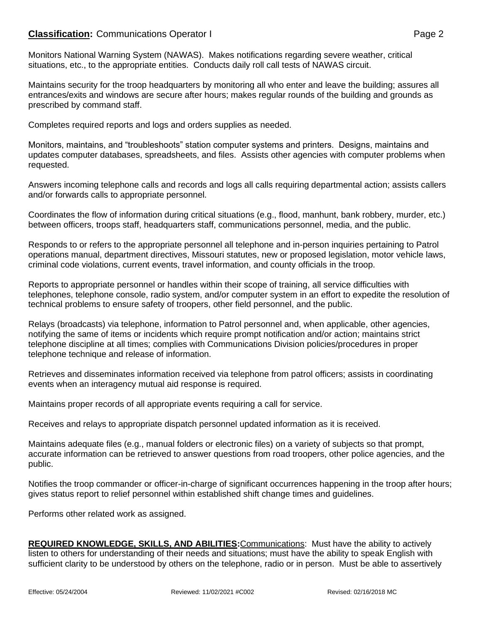# **Classification:** Communications Operator I **Classification:** Page 2

Monitors National Warning System (NAWAS). Makes notifications regarding severe weather, critical situations, etc., to the appropriate entities. Conducts daily roll call tests of NAWAS circuit.

Maintains security for the troop headquarters by monitoring all who enter and leave the building; assures all entrances/exits and windows are secure after hours; makes regular rounds of the building and grounds as prescribed by command staff.

Completes required reports and logs and orders supplies as needed.

Monitors, maintains, and "troubleshoots" station computer systems and printers. Designs, maintains and updates computer databases, spreadsheets, and files. Assists other agencies with computer problems when requested.

Answers incoming telephone calls and records and logs all calls requiring departmental action; assists callers and/or forwards calls to appropriate personnel.

Coordinates the flow of information during critical situations (e.g., flood, manhunt, bank robbery, murder, etc.) between officers, troops staff, headquarters staff, communications personnel, media, and the public.

Responds to or refers to the appropriate personnel all telephone and in-person inquiries pertaining to Patrol operations manual, department directives, Missouri statutes, new or proposed legislation, motor vehicle laws, criminal code violations, current events, travel information, and county officials in the troop.

Reports to appropriate personnel or handles within their scope of training, all service difficulties with telephones, telephone console, radio system, and/or computer system in an effort to expedite the resolution of technical problems to ensure safety of troopers, other field personnel, and the public.

Relays (broadcasts) via telephone, information to Patrol personnel and, when applicable, other agencies, notifying the same of items or incidents which require prompt notification and/or action; maintains strict telephone discipline at all times; complies with Communications Division policies/procedures in proper telephone technique and release of information.

Retrieves and disseminates information received via telephone from patrol officers; assists in coordinating events when an interagency mutual aid response is required.

Maintains proper records of all appropriate events requiring a call for service.

Receives and relays to appropriate dispatch personnel updated information as it is received.

Maintains adequate files (e.g., manual folders or electronic files) on a variety of subjects so that prompt, accurate information can be retrieved to answer questions from road troopers, other police agencies, and the public.

Notifies the troop commander or officer-in-charge of significant occurrences happening in the troop after hours; gives status report to relief personnel within established shift change times and guidelines.

Performs other related work as assigned.

**REQUIRED KNOWLEDGE, SKILLS, AND ABILITIES:**Communications: Must have the ability to actively listen to others for understanding of their needs and situations; must have the ability to speak English with sufficient clarity to be understood by others on the telephone, radio or in person. Must be able to assertively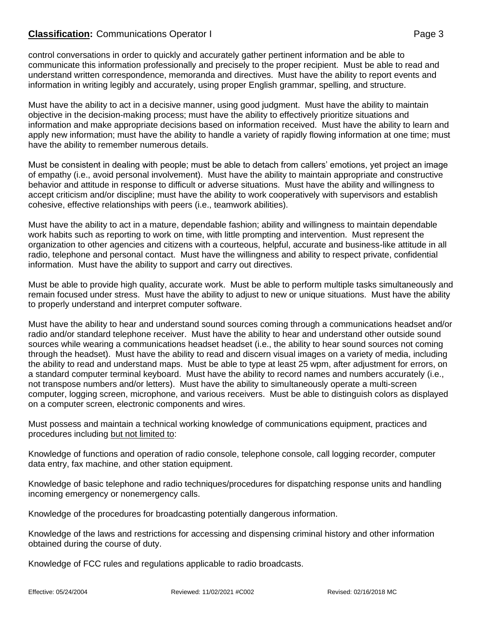# **Classification:** Communications Operator I **Classification:** Page 3

control conversations in order to quickly and accurately gather pertinent information and be able to communicate this information professionally and precisely to the proper recipient. Must be able to read and understand written correspondence, memoranda and directives. Must have the ability to report events and information in writing legibly and accurately, using proper English grammar, spelling, and structure.

Must have the ability to act in a decisive manner, using good judgment. Must have the ability to maintain objective in the decision-making process; must have the ability to effectively prioritize situations and information and make appropriate decisions based on information received. Must have the ability to learn and apply new information; must have the ability to handle a variety of rapidly flowing information at one time; must have the ability to remember numerous details.

Must be consistent in dealing with people; must be able to detach from callers' emotions, yet project an image of empathy (i.e., avoid personal involvement). Must have the ability to maintain appropriate and constructive behavior and attitude in response to difficult or adverse situations. Must have the ability and willingness to accept criticism and/or discipline; must have the ability to work cooperatively with supervisors and establish cohesive, effective relationships with peers (i.e., teamwork abilities).

Must have the ability to act in a mature, dependable fashion; ability and willingness to maintain dependable work habits such as reporting to work on time, with little prompting and intervention. Must represent the organization to other agencies and citizens with a courteous, helpful, accurate and business-like attitude in all radio, telephone and personal contact. Must have the willingness and ability to respect private, confidential information. Must have the ability to support and carry out directives.

Must be able to provide high quality, accurate work. Must be able to perform multiple tasks simultaneously and remain focused under stress. Must have the ability to adjust to new or unique situations. Must have the ability to properly understand and interpret computer software.

Must have the ability to hear and understand sound sources coming through a communications headset and/or radio and/or standard telephone receiver. Must have the ability to hear and understand other outside sound sources while wearing a communications headset headset (i.e., the ability to hear sound sources not coming through the headset). Must have the ability to read and discern visual images on a variety of media, including the ability to read and understand maps. Must be able to type at least 25 wpm, after adjustment for errors, on a standard computer terminal keyboard. Must have the ability to record names and numbers accurately (i.e., not transpose numbers and/or letters). Must have the ability to simultaneously operate a multi-screen computer, logging screen, microphone, and various receivers. Must be able to distinguish colors as displayed on a computer screen, electronic components and wires.

Must possess and maintain a technical working knowledge of communications equipment, practices and procedures including but not limited to:

Knowledge of functions and operation of radio console, telephone console, call logging recorder, computer data entry, fax machine, and other station equipment.

Knowledge of basic telephone and radio techniques/procedures for dispatching response units and handling incoming emergency or nonemergency calls.

Knowledge of the procedures for broadcasting potentially dangerous information.

Knowledge of the laws and restrictions for accessing and dispensing criminal history and other information obtained during the course of duty.

Knowledge of FCC rules and regulations applicable to radio broadcasts.